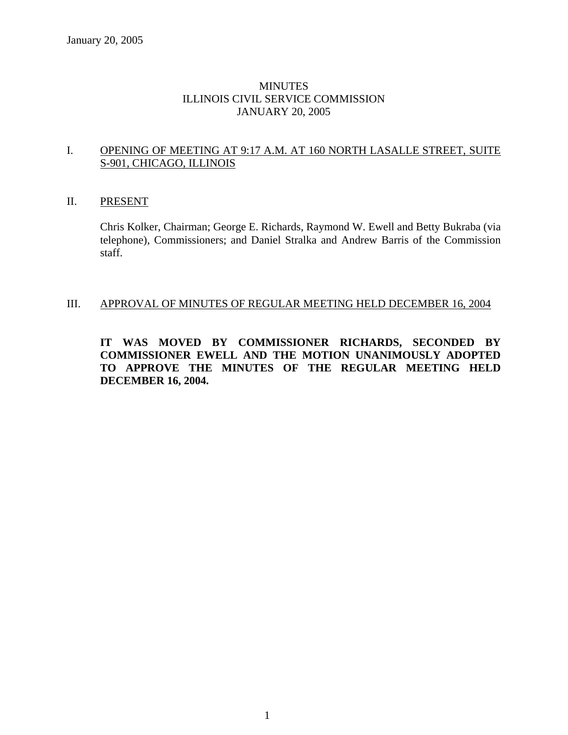## MINUTES ILLINOIS CIVIL SERVICE COMMISSION JANUARY 20, 2005

## I. OPENING OF MEETING AT 9:17 A.M. AT 160 NORTH LASALLE STREET, SUITE S-901, CHICAGO, ILLINOIS

## II. PRESENT

Chris Kolker, Chairman; George E. Richards, Raymond W. Ewell and Betty Bukraba (via telephone), Commissioners; and Daniel Stralka and Andrew Barris of the Commission staff.

## III. APPROVAL OF MINUTES OF REGULAR MEETING HELD DECEMBER 16, 2004

**IT WAS MOVED BY COMMISSIONER RICHARDS, SECONDED BY COMMISSIONER EWELL AND THE MOTION UNANIMOUSLY ADOPTED TO APPROVE THE MINUTES OF THE REGULAR MEETING HELD DECEMBER 16, 2004.**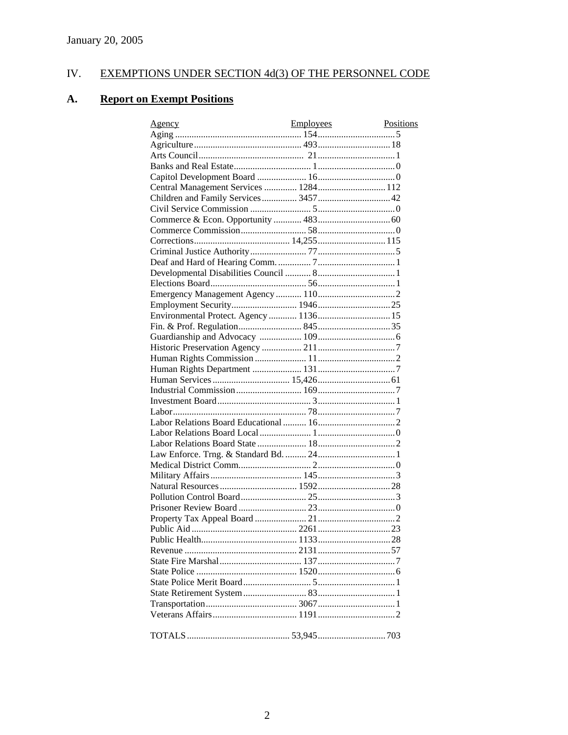#### EXEMPTIONS UNDER SECTION 4d(3) OF THE PERSONNEL CODE IV.

#### **A. Report on Exempt Positions**

| Agency                                | Employees | Positions |
|---------------------------------------|-----------|-----------|
|                                       |           |           |
|                                       |           |           |
|                                       |           |           |
|                                       |           |           |
|                                       |           |           |
| Central Management Services  1284 112 |           |           |
| Children and Family Services 3457 42  |           |           |
|                                       |           |           |
|                                       |           |           |
|                                       |           |           |
|                                       |           |           |
|                                       |           |           |
|                                       |           |           |
|                                       |           |           |
|                                       |           |           |
|                                       |           |           |
|                                       |           |           |
|                                       |           |           |
|                                       |           |           |
|                                       |           |           |
|                                       |           |           |
|                                       |           |           |
|                                       |           |           |
|                                       |           |           |
|                                       |           |           |
|                                       |           |           |
|                                       |           |           |
|                                       |           |           |
|                                       |           |           |
|                                       |           |           |
|                                       |           |           |
|                                       |           |           |
|                                       |           |           |
|                                       |           |           |
|                                       |           |           |
|                                       |           |           |
|                                       |           |           |
|                                       |           |           |
|                                       |           |           |
|                                       |           |           |
|                                       |           |           |
|                                       |           |           |
|                                       |           |           |
|                                       |           |           |
|                                       |           |           |
|                                       |           |           |
|                                       |           |           |
|                                       |           |           |
|                                       |           |           |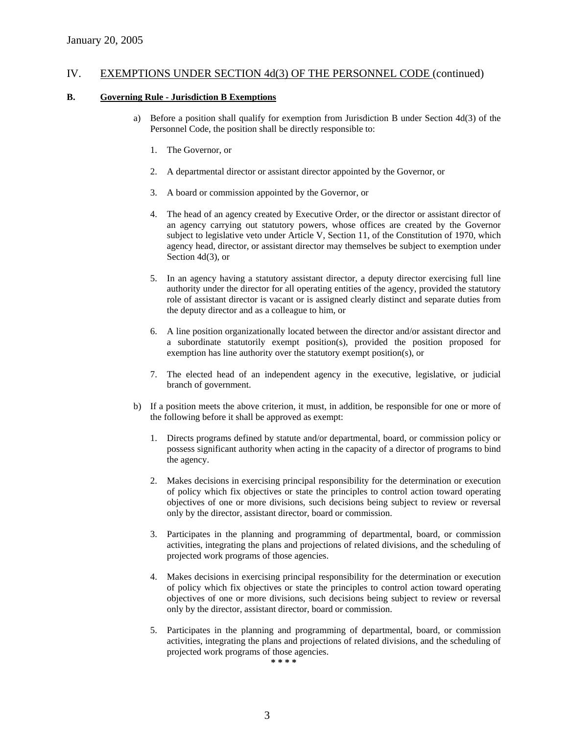#### **B. Governing Rule - Jurisdiction B Exemptions**

- a) Before a position shall qualify for exemption from Jurisdiction B under Section 4d(3) of the Personnel Code, the position shall be directly responsible to:
	- 1. The Governor, or
	- 2. A departmental director or assistant director appointed by the Governor, or
	- 3. A board or commission appointed by the Governor, or
	- 4. The head of an agency created by Executive Order, or the director or assistant director of an agency carrying out statutory powers, whose offices are created by the Governor subject to legislative veto under Article V, Section 11, of the Constitution of 1970, which agency head, director, or assistant director may themselves be subject to exemption under Section 4d(3), or
	- 5. In an agency having a statutory assistant director, a deputy director exercising full line authority under the director for all operating entities of the agency, provided the statutory role of assistant director is vacant or is assigned clearly distinct and separate duties from the deputy director and as a colleague to him, or
	- 6. A line position organizationally located between the director and/or assistant director and a subordinate statutorily exempt position(s), provided the position proposed for exemption has line authority over the statutory exempt position(s), or
	- 7. The elected head of an independent agency in the executive, legislative, or judicial branch of government.
- b) If a position meets the above criterion, it must, in addition, be responsible for one or more of the following before it shall be approved as exempt:
	- 1. Directs programs defined by statute and/or departmental, board, or commission policy or possess significant authority when acting in the capacity of a director of programs to bind the agency.
	- 2. Makes decisions in exercising principal responsibility for the determination or execution of policy which fix objectives or state the principles to control action toward operating objectives of one or more divisions, such decisions being subject to review or reversal only by the director, assistant director, board or commission.
	- 3. Participates in the planning and programming of departmental, board, or commission activities, integrating the plans and projections of related divisions, and the scheduling of projected work programs of those agencies.
	- 4. Makes decisions in exercising principal responsibility for the determination or execution of policy which fix objectives or state the principles to control action toward operating objectives of one or more divisions, such decisions being subject to review or reversal only by the director, assistant director, board or commission.
	- 5. Participates in the planning and programming of departmental, board, or commission activities, integrating the plans and projections of related divisions, and the scheduling of projected work programs of those agencies.

**\* \* \* \***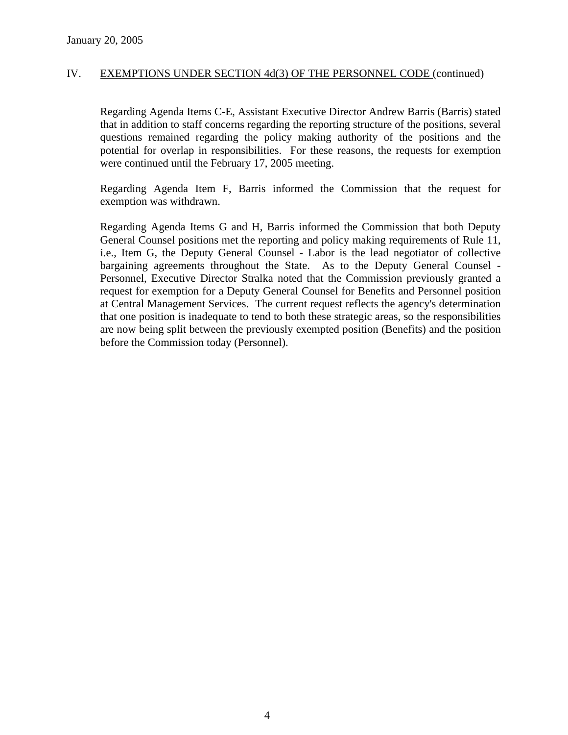Regarding Agenda Items C-E, Assistant Executive Director Andrew Barris (Barris) stated that in addition to staff concerns regarding the reporting structure of the positions, several questions remained regarding the policy making authority of the positions and the potential for overlap in responsibilities. For these reasons, the requests for exemption were continued until the February 17, 2005 meeting.

Regarding Agenda Item F, Barris informed the Commission that the request for exemption was withdrawn.

Regarding Agenda Items G and H, Barris informed the Commission that both Deputy General Counsel positions met the reporting and policy making requirements of Rule 11, i.e., Item G, the Deputy General Counsel - Labor is the lead negotiator of collective bargaining agreements throughout the State. As to the Deputy General Counsel - Personnel, Executive Director Stralka noted that the Commission previously granted a request for exemption for a Deputy General Counsel for Benefits and Personnel position at Central Management Services. The current request reflects the agency's determination that one position is inadequate to tend to both these strategic areas, so the responsibilities are now being split between the previously exempted position (Benefits) and the position before the Commission today (Personnel).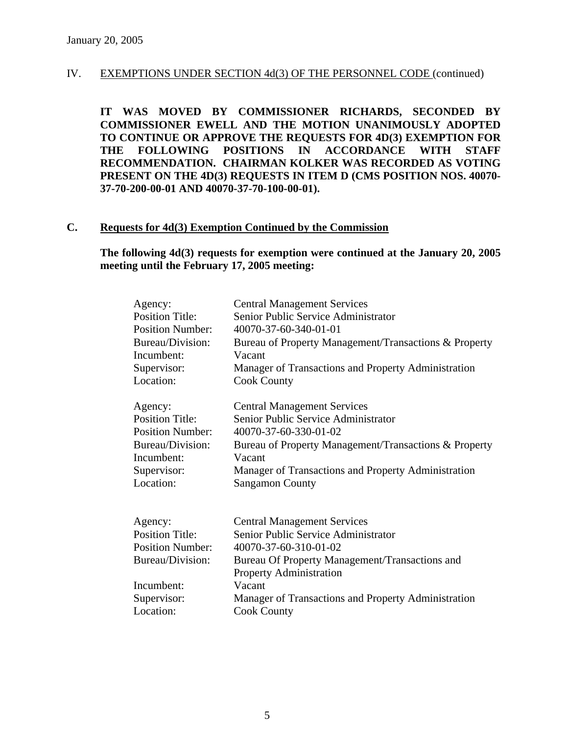**IT WAS MOVED BY COMMISSIONER RICHARDS, SECONDED BY COMMISSIONER EWELL AND THE MOTION UNANIMOUSLY ADOPTED TO CONTINUE OR APPROVE THE REQUESTS FOR 4D(3) EXEMPTION FOR THE FOLLOWING POSITIONS IN ACCORDANCE WITH STAFF RECOMMENDATION. CHAIRMAN KOLKER WAS RECORDED AS VOTING PRESENT ON THE 4D(3) REQUESTS IN ITEM D (CMS POSITION NOS. 40070- 37-70-200-00-01 AND 40070-37-70-100-00-01).** 

## **C. Requests for 4d(3) Exemption Continued by the Commission**

**The following 4d(3) requests for exemption were continued at the January 20, 2005 meeting until the February 17, 2005 meeting:** 

| Agency:                 | <b>Central Management Services</b>                    |
|-------------------------|-------------------------------------------------------|
| <b>Position Title:</b>  | Senior Public Service Administrator                   |
| <b>Position Number:</b> | 40070-37-60-340-01-01                                 |
| Bureau/Division:        | Bureau of Property Management/Transactions & Property |
| Incumbent:              | Vacant                                                |
| Supervisor:             | Manager of Transactions and Property Administration   |
| Location:               | <b>Cook County</b>                                    |
| Agency:                 | <b>Central Management Services</b>                    |
| <b>Position Title:</b>  | Senior Public Service Administrator                   |
| <b>Position Number:</b> | 40070-37-60-330-01-02                                 |
| Bureau/Division:        | Bureau of Property Management/Transactions & Property |
| Incumbent:              | Vacant                                                |
| Supervisor:             | Manager of Transactions and Property Administration   |
| Location:               | <b>Sangamon County</b>                                |
| Agency:                 | <b>Central Management Services</b>                    |
| <b>Position Title:</b>  | Senior Public Service Administrator                   |
| <b>Position Number:</b> | 40070-37-60-310-01-02                                 |
| Bureau/Division:        | Bureau Of Property Management/Transactions and        |
|                         | <b>Property Administration</b>                        |
| Incumbent:              | Vacant                                                |
| Supervisor:             | Manager of Transactions and Property Administration   |
| Location:               | <b>Cook County</b>                                    |
|                         |                                                       |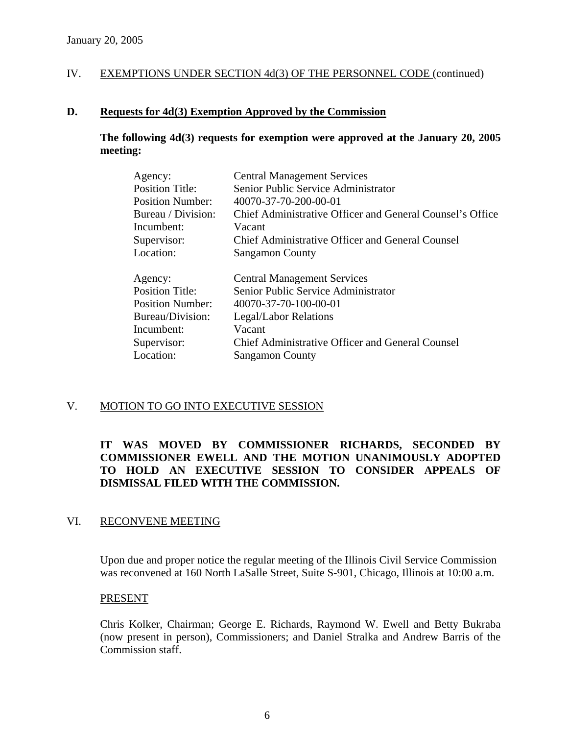## **D. Requests for 4d(3) Exemption Approved by the Commission**

**The following 4d(3) requests for exemption were approved at the January 20, 2005 meeting:** 

| Agency:                 | <b>Central Management Services</b>                        |
|-------------------------|-----------------------------------------------------------|
| <b>Position Title:</b>  | Senior Public Service Administrator                       |
| <b>Position Number:</b> | 40070-37-70-200-00-01                                     |
| Bureau / Division:      | Chief Administrative Officer and General Counsel's Office |
| Incumbent:              | Vacant                                                    |
| Supervisor:             | <b>Chief Administrative Officer and General Counsel</b>   |
| Location:               | <b>Sangamon County</b>                                    |
| Agency:                 | <b>Central Management Services</b>                        |
| <b>Position Title:</b>  | Senior Public Service Administrator                       |
| <b>Position Number:</b> | 40070-37-70-100-00-01                                     |
| Bureau/Division:        | Legal/Labor Relations                                     |
| Incumbent:              | Vacant                                                    |
| Supervisor:             | Chief Administrative Officer and General Counsel          |
| Location:               | <b>Sangamon County</b>                                    |
|                         |                                                           |

## V. MOTION TO GO INTO EXECUTIVE SESSION

## **IT WAS MOVED BY COMMISSIONER RICHARDS, SECONDED BY COMMISSIONER EWELL AND THE MOTION UNANIMOUSLY ADOPTED TO HOLD AN EXECUTIVE SESSION TO CONSIDER APPEALS OF DISMISSAL FILED WITH THE COMMISSION.**

## VI. RECONVENE MEETING

Upon due and proper notice the regular meeting of the Illinois Civil Service Commission was reconvened at 160 North LaSalle Street, Suite S-901, Chicago, Illinois at 10:00 a.m.

## PRESENT

Chris Kolker, Chairman; George E. Richards, Raymond W. Ewell and Betty Bukraba (now present in person), Commissioners; and Daniel Stralka and Andrew Barris of the Commission staff.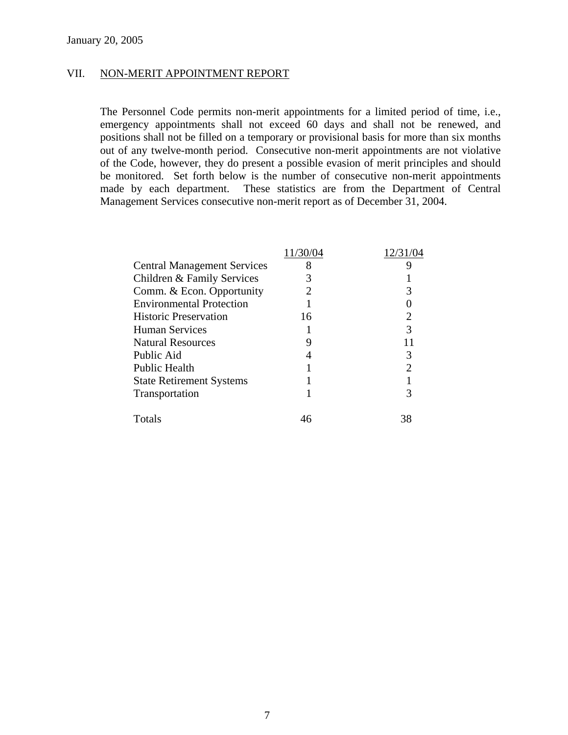#### VII. NON-MERIT APPOINTMENT REPORT

The Personnel Code permits non-merit appointments for a limited period of time, i.e., emergency appointments shall not exceed 60 days and shall not be renewed, and positions shall not be filled on a temporary or provisional basis for more than six months out of any twelve-month period. Consecutive non-merit appointments are not violative of the Code, however, they do present a possible evasion of merit principles and should be monitored. Set forth below is the number of consecutive non-merit appointments made by each department. These statistics are from the Department of Central Management Services consecutive non-merit report as of December 31, 2004.

| <b>Central Management Services</b> | 8  |    |
|------------------------------------|----|----|
| Children & Family Services         |    |    |
| Comm. & Econ. Opportunity          |    |    |
| <b>Environmental Protection</b>    |    |    |
| <b>Historic Preservation</b>       | 16 | റ  |
| <b>Human Services</b>              |    |    |
| <b>Natural Resources</b>           |    |    |
| Public Aid                         |    |    |
| <b>Public Health</b>               |    |    |
| <b>State Retirement Systems</b>    |    |    |
| Transportation                     |    |    |
| Totals                             |    | 38 |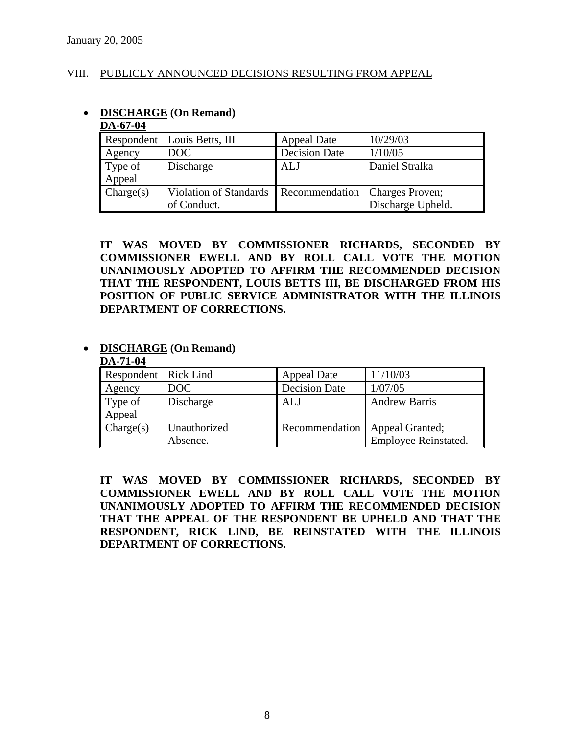## VIII. PUBLICLY ANNOUNCED DECISIONS RESULTING FROM APPEAL

| DA-67-04  |                               |                      |                   |
|-----------|-------------------------------|----------------------|-------------------|
|           | Respondent   Louis Betts, III | <b>Appeal Date</b>   | 10/29/03          |
| Agency    | DOC                           | <b>Decision Date</b> | 1/10/05           |
| Type of   | Discharge                     | <b>ALJ</b>           | Daniel Stralka    |
| Appeal    |                               |                      |                   |
| Change(s) | Violation of Standards        | Recommendation       | Charges Proven;   |
|           | of Conduct.                   |                      | Discharge Upheld. |

**IT WAS MOVED BY COMMISSIONER RICHARDS, SECONDED BY COMMISSIONER EWELL AND BY ROLL CALL VOTE THE MOTION UNANIMOUSLY ADOPTED TO AFFIRM THE RECOMMENDED DECISION THAT THE RESPONDENT, LOUIS BETTS III, BE DISCHARGED FROM HIS POSITION OF PUBLIC SERVICE ADMINISTRATOR WITH THE ILLINOIS DEPARTMENT OF CORRECTIONS.** 

# • **DISCHARGE (On Remand)**

• **DISCHARGE (On Remand)**

#### **DA-71-04** Respondent Rick Lind Appeal Date 11/10/03 Agency DOC Decision Date 1/07/05 Type of Appeal Discharge **ALJ** Andrew Barris Charge(s) Unauthorized Absence. Recommendation | Appeal Granted; Employee Reinstated.

**IT WAS MOVED BY COMMISSIONER RICHARDS, SECONDED BY COMMISSIONER EWELL AND BY ROLL CALL VOTE THE MOTION UNANIMOUSLY ADOPTED TO AFFIRM THE RECOMMENDED DECISION THAT THE APPEAL OF THE RESPONDENT BE UPHELD AND THAT THE RESPONDENT, RICK LIND, BE REINSTATED WITH THE ILLINOIS DEPARTMENT OF CORRECTIONS.** 

8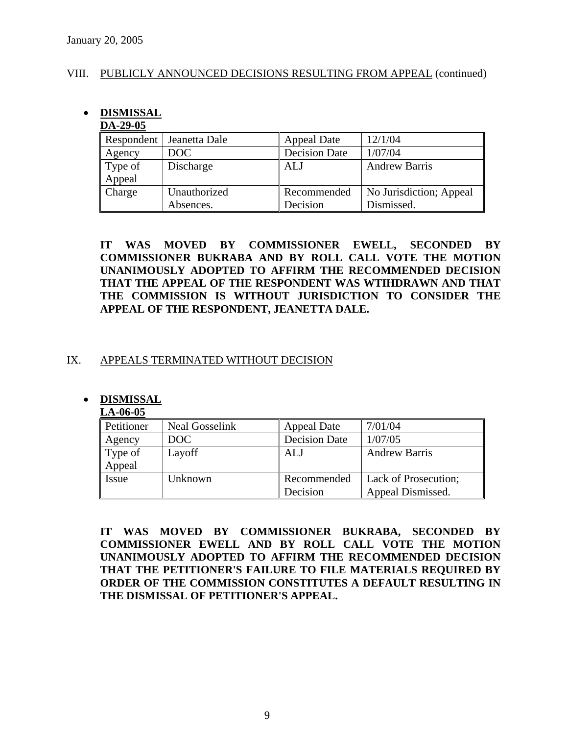## VIII. PUBLICLY ANNOUNCED DECISIONS RESULTING FROM APPEAL (continued)

## • **DISMISSAL**

## **DA-29-05**

| Respondent | Jeanetta Dale | <b>Appeal Date</b>   | 12/1/04                 |
|------------|---------------|----------------------|-------------------------|
| Agency     | DOC           | <b>Decision Date</b> | 1/07/04                 |
| Type of    | Discharge     | ALJ                  | <b>Andrew Barris</b>    |
| Appeal     |               |                      |                         |
| Charge     | Unauthorized  | Recommended          | No Jurisdiction; Appeal |
|            | Absences.     | Decision             | Dismissed.              |

**IT WAS MOVED BY COMMISSIONER EWELL, SECONDED BY COMMISSIONER BUKRABA AND BY ROLL CALL VOTE THE MOTION UNANIMOUSLY ADOPTED TO AFFIRM THE RECOMMENDED DECISION THAT THE APPEAL OF THE RESPONDENT WAS WTIHDRAWN AND THAT THE COMMISSION IS WITHOUT JURISDICTION TO CONSIDER THE APPEAL OF THE RESPONDENT, JEANETTA DALE.** 

## IX. APPEALS TERMINATED WITHOUT DECISION

## • **DISMISSAL**

## **LA-06-05**

| Petitioner | <b>Neal Gosselink</b> | <b>Appeal Date</b>   | 7/01/04              |
|------------|-----------------------|----------------------|----------------------|
| Agency     | DOC                   | <b>Decision Date</b> | 1/07/05              |
| Type of    | Layoff                | ALJ                  | <b>Andrew Barris</b> |
| Appeal     |                       |                      |                      |
| Issue      | Unknown               | Recommended          | Lack of Prosecution; |
|            |                       | Decision             | Appeal Dismissed.    |

**IT WAS MOVED BY COMMISSIONER BUKRABA, SECONDED BY COMMISSIONER EWELL AND BY ROLL CALL VOTE THE MOTION UNANIMOUSLY ADOPTED TO AFFIRM THE RECOMMENDED DECISION THAT THE PETITIONER'S FAILURE TO FILE MATERIALS REQUIRED BY ORDER OF THE COMMISSION CONSTITUTES A DEFAULT RESULTING IN THE DISMISSAL OF PETITIONER'S APPEAL.**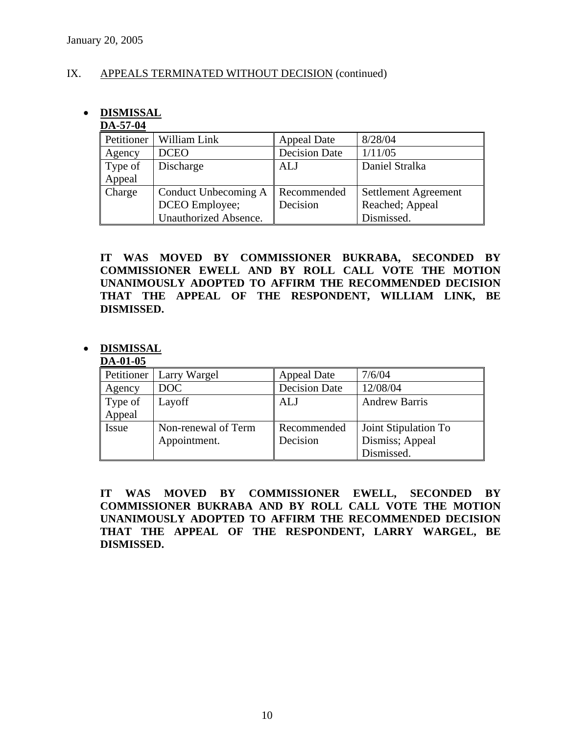## IX. APPEALS TERMINATED WITHOUT DECISION (continued)

## • **DISMISSAL**

## **DA-57-04**

| Petitioner | William Link          | <b>Appeal Date</b>   | 8/28/04              |
|------------|-----------------------|----------------------|----------------------|
| Agency     | <b>DCEO</b>           | <b>Decision Date</b> | 1/11/05              |
| Type of    | Discharge             | <b>ALJ</b>           | Daniel Stralka       |
| Appeal     |                       |                      |                      |
| Charge     | Conduct Unbecoming A  | Recommended          | Settlement Agreement |
|            | DCEO Employee;        | Decision             | Reached; Appeal      |
|            | Unauthorized Absence. |                      | Dismissed.           |

**IT WAS MOVED BY COMMISSIONER BUKRABA, SECONDED BY COMMISSIONER EWELL AND BY ROLL CALL VOTE THE MOTION UNANIMOUSLY ADOPTED TO AFFIRM THE RECOMMENDED DECISION THAT THE APPEAL OF THE RESPONDENT, WILLIAM LINK, BE DISMISSED.** 

## • **DISMISSAL**

## **DA-01-05**

|         | Petitioner   Larry Wargel | <b>Appeal Date</b>   | 7/6/04               |
|---------|---------------------------|----------------------|----------------------|
| Agency  | DOC                       | <b>Decision Date</b> | 12/08/04             |
| Type of | Layoff                    | ALJ                  | <b>Andrew Barris</b> |
| Appeal  |                           |                      |                      |
| Issue   | Non-renewal of Term       | Recommended          | Joint Stipulation To |
|         | Appointment.              | Decision             | Dismiss; Appeal      |
|         |                           |                      | Dismissed.           |

**IT WAS MOVED BY COMMISSIONER EWELL, SECONDED BY COMMISSIONER BUKRABA AND BY ROLL CALL VOTE THE MOTION UNANIMOUSLY ADOPTED TO AFFIRM THE RECOMMENDED DECISION THAT THE APPEAL OF THE RESPONDENT, LARRY WARGEL, BE DISMISSED.**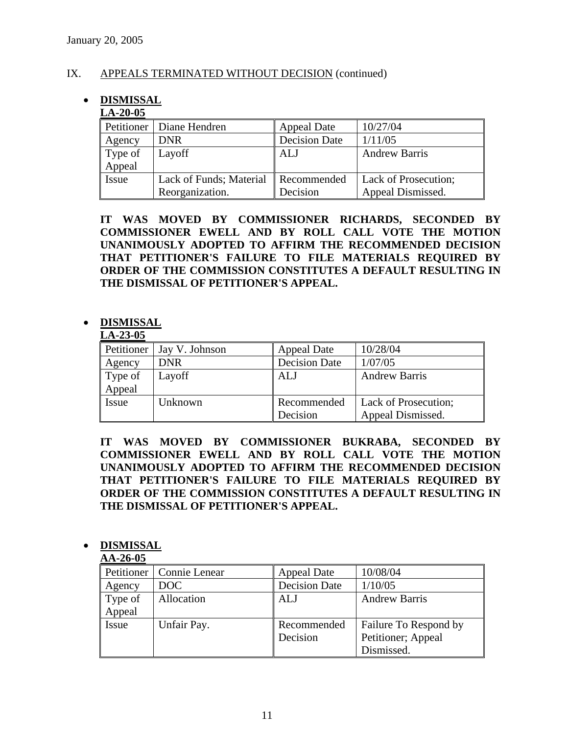## IX. APPEALS TERMINATED WITHOUT DECISION (continued)

## • **DISMISSAL**

## **LA-20-05**

|         | Petitioner   Diane Hendren | <b>Appeal Date</b>   | 10/27/04             |
|---------|----------------------------|----------------------|----------------------|
| Agency  | <b>DNR</b>                 | <b>Decision Date</b> | 1/11/05              |
| Type of | Layoff                     | <b>ALJ</b>           | <b>Andrew Barris</b> |
| Appeal  |                            |                      |                      |
| Issue   | Lack of Funds; Material    | Recommended          | Lack of Prosecution; |
|         | Reorganization.            | Decision             | Appeal Dismissed.    |

**IT WAS MOVED BY COMMISSIONER RICHARDS, SECONDED BY COMMISSIONER EWELL AND BY ROLL CALL VOTE THE MOTION UNANIMOUSLY ADOPTED TO AFFIRM THE RECOMMENDED DECISION THAT PETITIONER'S FAILURE TO FILE MATERIALS REQUIRED BY ORDER OF THE COMMISSION CONSTITUTES A DEFAULT RESULTING IN THE DISMISSAL OF PETITIONER'S APPEAL.** 

## • **DISMISSAL**

#### **LA-23-05**

| Petitioner | Jay V. Johnson | Appeal Date          | 10/28/04             |
|------------|----------------|----------------------|----------------------|
| Agency     | <b>DNR</b>     | <b>Decision Date</b> | 1/07/05              |
| Type of    | Layoff         | ALJ                  | <b>Andrew Barris</b> |
| Appeal     |                |                      |                      |
| Issue      | Unknown        | Recommended          | Lack of Prosecution; |
|            |                | Decision             | Appeal Dismissed.    |

**IT WAS MOVED BY COMMISSIONER BUKRABA, SECONDED BY COMMISSIONER EWELL AND BY ROLL CALL VOTE THE MOTION UNANIMOUSLY ADOPTED TO AFFIRM THE RECOMMENDED DECISION THAT PETITIONER'S FAILURE TO FILE MATERIALS REQUIRED BY ORDER OF THE COMMISSION CONSTITUTES A DEFAULT RESULTING IN THE DISMISSAL OF PETITIONER'S APPEAL.** 

## • **DISMISSAL**

#### **AA-26-05**

| Petitioner | Connie Lenear | <b>Appeal Date</b>   | 10/08/04              |
|------------|---------------|----------------------|-----------------------|
| Agency     | <b>DOC</b>    | <b>Decision Date</b> | 1/10/05               |
| Type of    | Allocation    | ALJ                  | <b>Andrew Barris</b>  |
| Appeal     |               |                      |                       |
| Issue      | Unfair Pay.   | Recommended          | Failure To Respond by |
|            |               | Decision             | Petitioner; Appeal    |
|            |               |                      | Dismissed.            |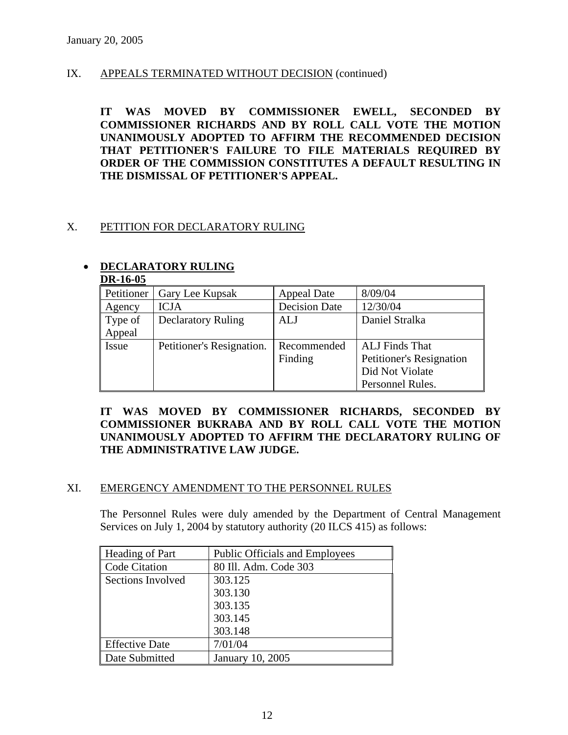## IX. APPEALS TERMINATED WITHOUT DECISION (continued)

**IT WAS MOVED BY COMMISSIONER EWELL, SECONDED BY COMMISSIONER RICHARDS AND BY ROLL CALL VOTE THE MOTION UNANIMOUSLY ADOPTED TO AFFIRM THE RECOMMENDED DECISION THAT PETITIONER'S FAILURE TO FILE MATERIALS REQUIRED BY ORDER OF THE COMMISSION CONSTITUTES A DEFAULT RESULTING IN THE DISMISSAL OF PETITIONER'S APPEAL.** 

## X. PETITION FOR DECLARATORY RULING

## • **DECLARATORY RULING**

| DIN-10-VJ  |                           |                      |                          |
|------------|---------------------------|----------------------|--------------------------|
| Petitioner | Gary Lee Kupsak           | Appeal Date          | 8/09/04                  |
| Agency     | <b>ICJA</b>               | <b>Decision Date</b> | 12/30/04                 |
| Type of    | <b>Declaratory Ruling</b> | ALJ                  | Daniel Stralka           |
| Appeal     |                           |                      |                          |
| Issue      | Petitioner's Resignation. | Recommended          | ALJ Finds That           |
|            |                           | Finding              | Petitioner's Resignation |
|            |                           |                      | Did Not Violate          |
|            |                           |                      | Personnel Rules.         |

# **DR-16-05**

## **IT WAS MOVED BY COMMISSIONER RICHARDS, SECONDED BY COMMISSIONER BUKRABA AND BY ROLL CALL VOTE THE MOTION UNANIMOUSLY ADOPTED TO AFFIRM THE DECLARATORY RULING OF THE ADMINISTRATIVE LAW JUDGE.**

## XI. EMERGENCY AMENDMENT TO THE PERSONNEL RULES

The Personnel Rules were duly amended by the Department of Central Management Services on July 1, 2004 by statutory authority (20 ILCS 415) as follows:

| Heading of Part       | <b>Public Officials and Employees</b> |
|-----------------------|---------------------------------------|
| Code Citation         | 80 Ill. Adm. Code 303                 |
| Sections Involved     | 303.125                               |
|                       | 303.130                               |
|                       | 303.135                               |
|                       | 303.145                               |
|                       | 303.148                               |
| <b>Effective Date</b> | 7/01/04                               |
| Date Submitted        | January 10, 2005                      |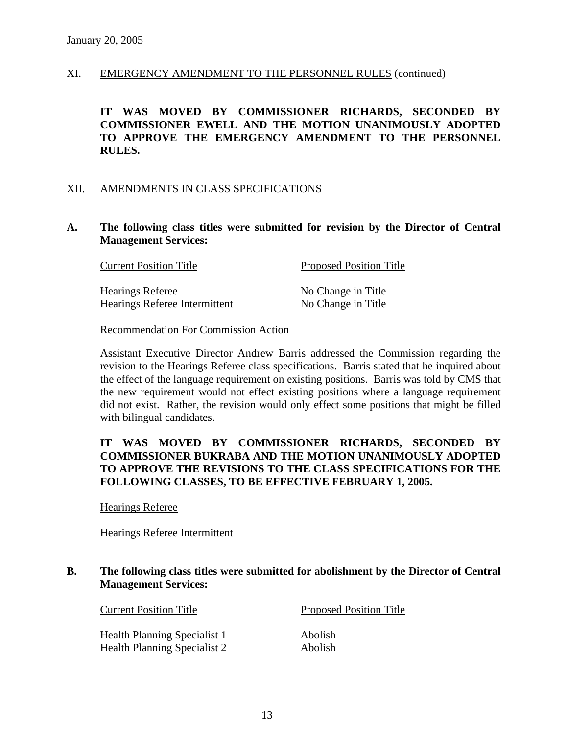#### XI. EMERGENCY AMENDMENT TO THE PERSONNEL RULES (continued)

 **IT WAS MOVED BY COMMISSIONER RICHARDS, SECONDED BY COMMISSIONER EWELL AND THE MOTION UNANIMOUSLY ADOPTED TO APPROVE THE EMERGENCY AMENDMENT TO THE PERSONNEL RULES.** 

#### XII. AMENDMENTS IN CLASS SPECIFICATIONS

#### **A. The following class titles were submitted for revision by the Director of Central Management Services:**

| <b>Current Position Title</b> | <b>Proposed Position Title</b> |  |
|-------------------------------|--------------------------------|--|
| <b>Hearings Referee</b>       | No Change in Title             |  |
| Hearings Referee Intermittent | No Change in Title             |  |

#### Recommendation For Commission Action

Assistant Executive Director Andrew Barris addressed the Commission regarding the revision to the Hearings Referee class specifications. Barris stated that he inquired about the effect of the language requirement on existing positions. Barris was told by CMS that the new requirement would not effect existing positions where a language requirement did not exist. Rather, the revision would only effect some positions that might be filled with bilingual candidates.

## **IT WAS MOVED BY COMMISSIONER RICHARDS, SECONDED BY COMMISSIONER BUKRABA AND THE MOTION UNANIMOUSLY ADOPTED TO APPROVE THE REVISIONS TO THE CLASS SPECIFICATIONS FOR THE FOLLOWING CLASSES, TO BE EFFECTIVE FEBRUARY 1, 2005.**

Hearings Referee

## Hearings Referee Intermittent

## **B. The following class titles were submitted for abolishment by the Director of Central Management Services:**

Health Planning Specialist 1 Abolish Health Planning Specialist 2 Abolish

Current Position Title Proposed Position Title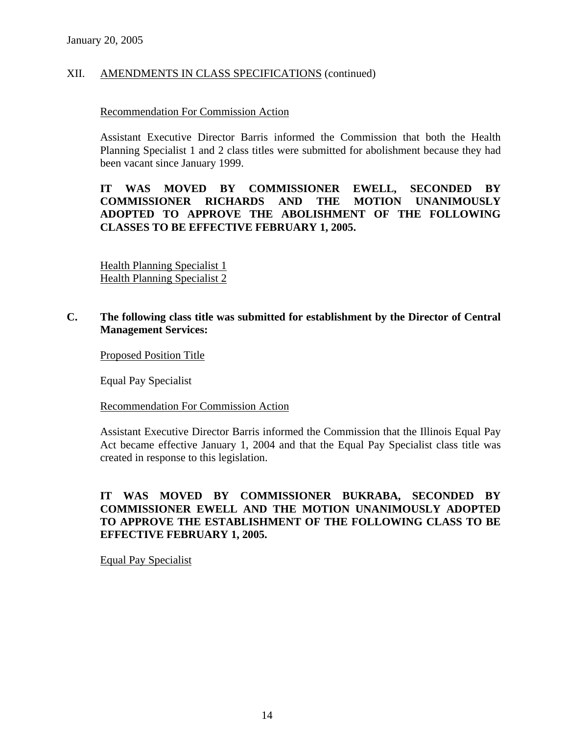## XII. AMENDMENTS IN CLASS SPECIFICATIONS (continued)

#### Recommendation For Commission Action

Assistant Executive Director Barris informed the Commission that both the Health Planning Specialist 1 and 2 class titles were submitted for abolishment because they had been vacant since January 1999.

## **IT WAS MOVED BY COMMISSIONER EWELL, SECONDED BY COMMISSIONER RICHARDS AND THE MOTION UNANIMOUSLY ADOPTED TO APPROVE THE ABOLISHMENT OF THE FOLLOWING CLASSES TO BE EFFECTIVE FEBRUARY 1, 2005.**

 Health Planning Specialist 1 Health Planning Specialist 2

## **C. The following class title was submitted for establishment by the Director of Central Management Services:**

Proposed Position Title

Equal Pay Specialist

Recommendation For Commission Action

Assistant Executive Director Barris informed the Commission that the Illinois Equal Pay Act became effective January 1, 2004 and that the Equal Pay Specialist class title was created in response to this legislation.

## **IT WAS MOVED BY COMMISSIONER BUKRABA, SECONDED BY COMMISSIONER EWELL AND THE MOTION UNANIMOUSLY ADOPTED TO APPROVE THE ESTABLISHMENT OF THE FOLLOWING CLASS TO BE EFFECTIVE FEBRUARY 1, 2005.**

Equal Pay Specialist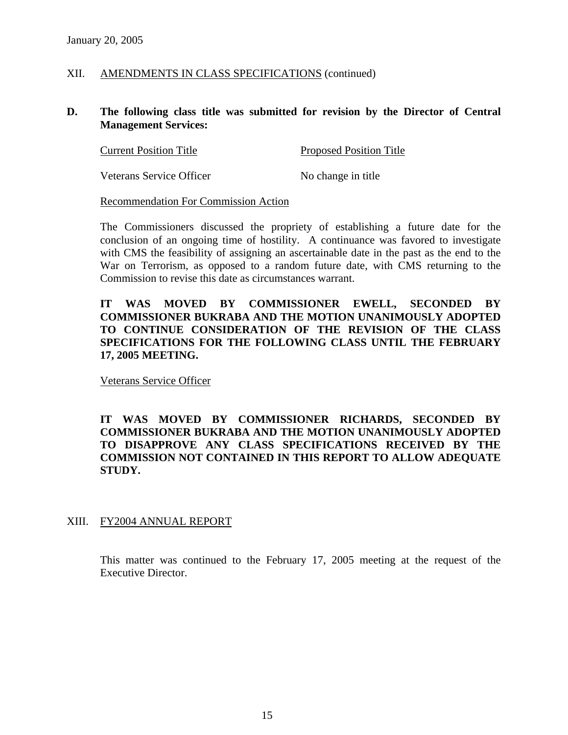## XII. AMENDMENTS IN CLASS SPECIFICATIONS (continued)

### **D. The following class title was submitted for revision by the Director of Central Management Services:**

| <b>Current Position Title</b>   | <b>Proposed Position Title</b> |  |
|---------------------------------|--------------------------------|--|
| <b>Veterans Service Officer</b> | No change in title             |  |

#### Recommendation For Commission Action

The Commissioners discussed the propriety of establishing a future date for the conclusion of an ongoing time of hostility. A continuance was favored to investigate with CMS the feasibility of assigning an ascertainable date in the past as the end to the War on Terrorism, as opposed to a random future date, with CMS returning to the Commission to revise this date as circumstances warrant.

## **IT WAS MOVED BY COMMISSIONER EWELL, SECONDED BY COMMISSIONER BUKRABA AND THE MOTION UNANIMOUSLY ADOPTED TO CONTINUE CONSIDERATION OF THE REVISION OF THE CLASS SPECIFICATIONS FOR THE FOLLOWING CLASS UNTIL THE FEBRUARY 17, 2005 MEETING.**

Veterans Service Officer

## **IT WAS MOVED BY COMMISSIONER RICHARDS, SECONDED BY COMMISSIONER BUKRABA AND THE MOTION UNANIMOUSLY ADOPTED TO DISAPPROVE ANY CLASS SPECIFICATIONS RECEIVED BY THE COMMISSION NOT CONTAINED IN THIS REPORT TO ALLOW ADEQUATE STUDY.**

## XIII. FY2004 ANNUAL REPORT

This matter was continued to the February 17, 2005 meeting at the request of the Executive Director.